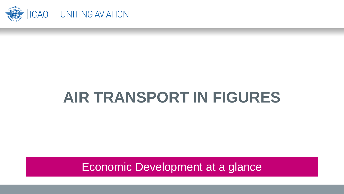

# **AIR TRANSPORT IN FIGURES**

Economic Development at a glance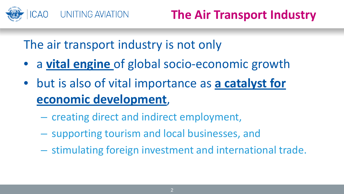

The air transport industry is not only

- a **vital engine** of global socio-economic growth
- but is also of vital importance as **a catalyst for economic development**,
	- creating direct and indirect employment,
	- supporting tourism and local businesses, and
	- stimulating foreign investment and international trade.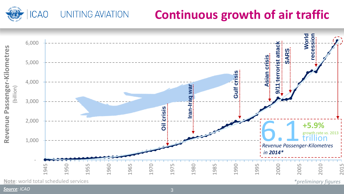# **Continuous growth of air traffic**



**UNITING AVIATION** 

**ICAO** 

*Source: ICAO* 3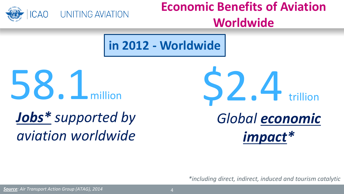

# **Economic Benefits of Aviation Worldwide**

**in 2012 - Worldwide**



# *Jobs\* supported by aviation worldwide*



*\*including direct, indirect, induced and tourism catalytic*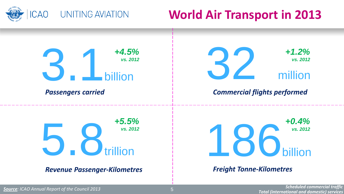

# **World Air Transport in 2013**



*Total (international and domestic) services Source: ICAO Annual Report of the Council 2013* <sup>5</sup>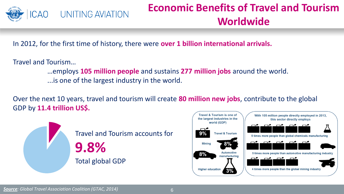

## **Economic Benefits of Travel and Tourism Worldwide**

In 2012, for the first time of history, there were **over 1 billion international arrivals.**

Travel and Tourism…

- …employs **105 million people** and sustains **277 million jobs** around the world.
- ...is one of the largest industry in the world.

Over the next 10 years, travel and tourism will create **80 million new jobs**, contribute to the global GDP by **11.4 trillion US\$.**



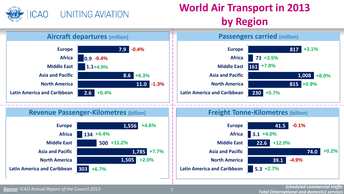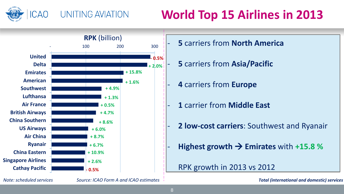

# **World Top 15 Airlines in 2013**



- **5** carriers from **North America**
- **5** carriers from **Asia/Pacific**
- **4** carriers from **Europe**
- **1** carrier from **Middle East**
- **2 low-cost carriers**: Southwest and Ryanair
- **Highest growth**  $\rightarrow$  **Emirates** with  $+15.8$  %

### RPK growth in 2013 vs 2012

*Note: scheduled services Source: ICAO Form A and ICAO estimates*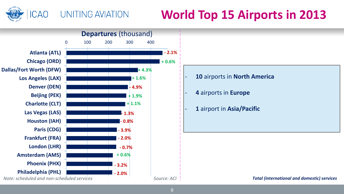

# **World Top 15 Airports in 2013**

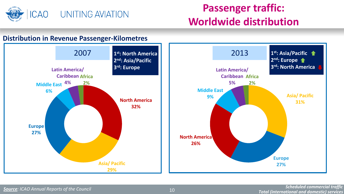

## **Passenger traffic: Worldwide distribution**

### **Distribution in Revenue Passenger-Kilometres**

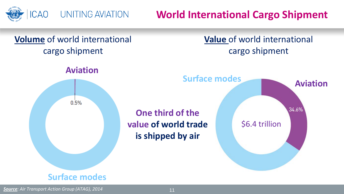

**World International Cargo Shipment**

## **Volume** of world international cargo shipment

## **Value** of world international cargo shipment



## **Surface modes**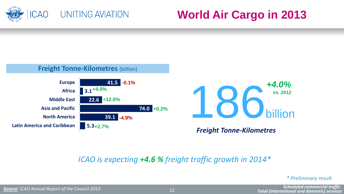

# **World Air Cargo in 2013**







*Freight Tonne-Kilometres*

### *ICAO is expecting +4.6 % freight traffic growth in 2014\**

#### *\* Preliminary result*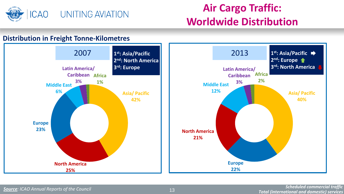

## **Air Cargo Traffic: Worldwide Distribution**

#### **Distribution in Freight Tonne-Kilometres**

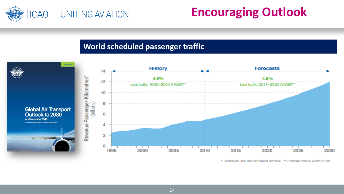

# **Encouraging Outlook**

### **World scheduled passenger traffic**



\*: Scheduled and non-scheduled services \*\*: Average Annual Growth Rate